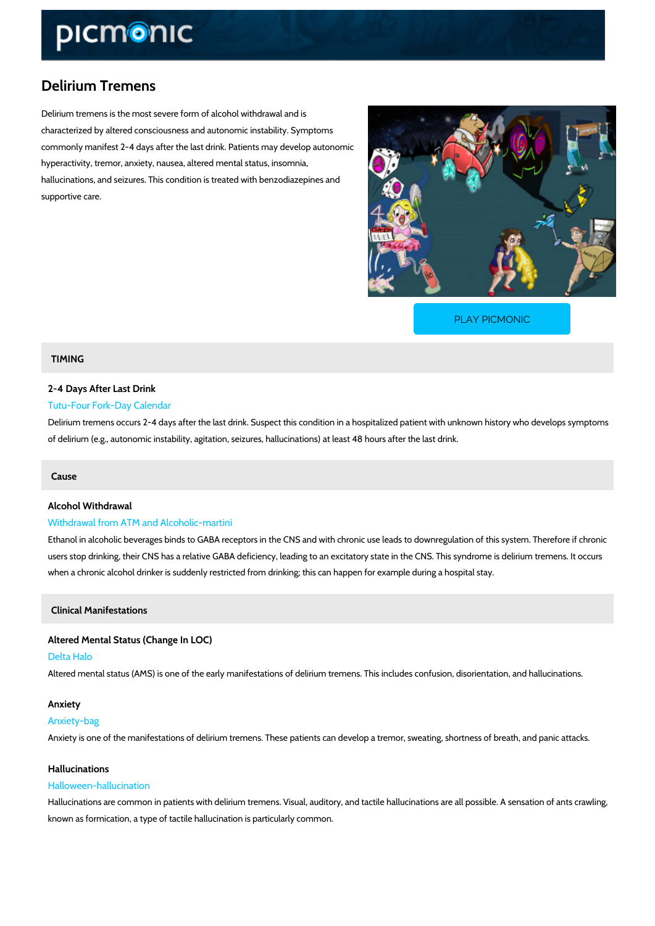# Delirium Tremens

Delirium tremens is the most severe form of alcohol withdrawal and is characterized by altered consciousness and autonomic instability. Symptoms commonly manifest 2-4 days after the last drink. Patients may develop autonomic hyperactivity, tremor, anxiety, nausea, altered mental status, insomnia, hallucinations, and seizures. This condition is treated with benzodiazepines and supportive care.

[PLAY PICMONIC](https://www.picmonic.com/learn/delirium-tremens_50166?utm_source=downloadable_content&utm_medium=distributedcontent&utm_campaign=pathways_pdf&utm_content=Delirium Tremens&utm_ad_group=leads&utm_market=all)

# TIMING

# 2-4 Days After Last Drink Tutu-Four Fork-Day Calendar

Delirium tremens occurs 2-4 days after the last drink. Suspect this condition in a hospitalized of delirium (e.g., autonomic instability, agitation, seizures, hallucinations) at least 48 hours

### Cause

# Alcohol Withdrawal Withdrawal from ATM and Alcoholic-martini

Ethanol in alcoholic beverages binds to GABA receptors in the CNS and with chronic use leads users stop drinking, their CNS has a relative GABA deficiency, leading to an excitatory state when a chronic alcohol drinker is suddenly restricted from drinking; this can happen for exam

Clinical Manifestations

Altered Mental Status (Change In LOC) Delta Halo Altered mental status (AMS) is one of the early manifestations of delirium tremens. This inclu

## Anxiety

### Anxiety-bag

Anxiety is one of the manifestations of delirium tremens. These patients can develop a tremor

### Hallucinations

### Halloween-hallucination

Hallucinations are common in patients with delirium tremens. Visual, auditory, and tactile hal known as formication, a type of tactile hallucination is particularly common.